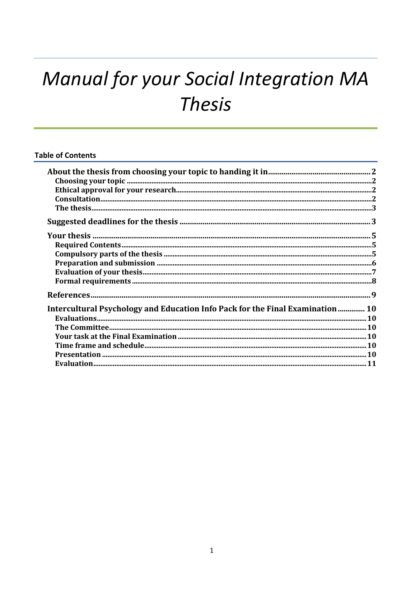# Manual for your Social Integration MA **Thesis**

# **Table of Contents**

| Intercultural Psychology and Education Info Pack for the Final Examination  10 |  |
|--------------------------------------------------------------------------------|--|
|                                                                                |  |
|                                                                                |  |
|                                                                                |  |
|                                                                                |  |
|                                                                                |  |
|                                                                                |  |
|                                                                                |  |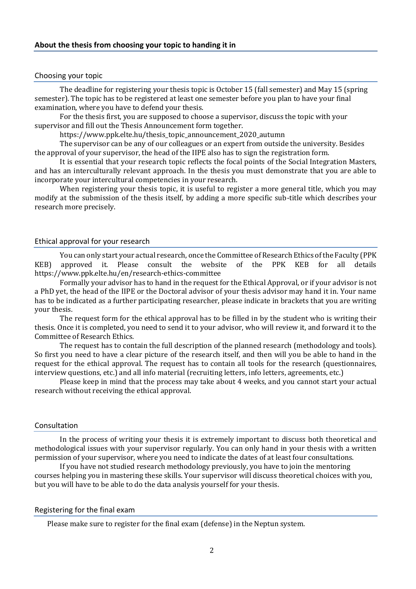## Choosing your topic

The deadline for registering your thesis topic is October 15 (fall semester) and May 15 (spring semester). The topic has to be registered at least one semester before you plan to have your final examination, where you have to defend your thesis.

For the thesis first, you are supposed to choose a supervisor, discuss the topic with your supervisor and fill out the Thesis Announcement form together.

https://www.ppk.elte.hu/thesis\_topic\_announcement\_2020\_autumn

The supervisor can be any of our colleagues or an expert from outside the university. Besides the approval of your supervisor, the head of the IIPE also has to sign the registration form.

It is essential that your research topic reflects the focal points of the Social Integration Masters, and has an interculturally relevant approach. In the thesis you must demonstrate that you are able to incorporate your intercultural competencies in your research.

When registering your thesis topic, it is useful to register a more general title, which you may modify at the submission of the thesis itself, by adding a more specific sub-title which describes your research more precisely.

## Ethical approval for your research

You can only start your actual research, once the Committee of Research Ethics of the Faculty (PPK KEB) approved it. Please consult the website of the PPK KEB for all details https://www.ppk.elte.hu/en/research-ethics-committee

Formally your advisor has to hand in the request for the Ethical Approval, or if your advisor is not a PhD yet, the head of the IIPE or the Doctoral advisor of your thesis advisor may hand it in. Your name has to be indicated as a further participating researcher, please indicate in brackets that you are writing your thesis.

The request form for the ethical approval has to be filled in by the student who is writing their thesis. Once it is completed, you need to send it to your advisor, who will review it, and forward it to the Committee of Research Ethics.

The request has to contain the full description of the planned research (methodology and tools). So first you need to have a clear picture of the research itself, and then will you be able to hand in the request for the ethical approval. The request has to contain all tools for the research (questionnaires, interview questions, etc.) and all info material (recruiting letters, info letters, agreements, etc.)

Please keep in mind that the process may take about 4 weeks, and you cannot start your actual research without receiving the ethical approval.

## Consultation

In the process of writing your thesis it is extremely important to discuss both theoretical and methodological issues with your supervisor regularly. You can only hand in your thesis with a written permission of your supervisor, where you need to indicate the dates of at least four consultations.

If you have not studied research methodology previously, you have to join the mentoring courses helping you in mastering these skills. Your supervisor will discuss theoretical choices with you, but you will have to be able to do the data analysis yourself for your thesis.

## Registering for the final exam

Please make sure to register for the final exam (defense) in the Neptun system.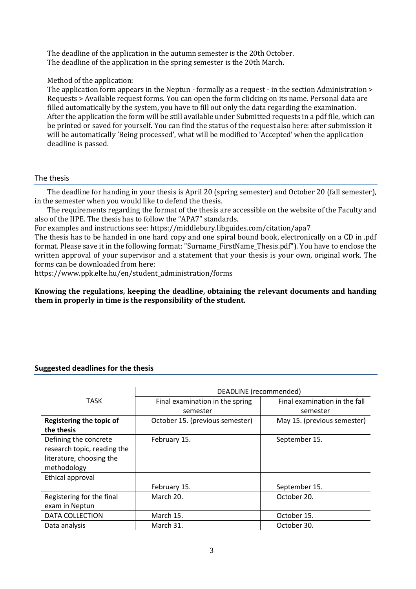The deadline of the application in the autumn semester is the 20th October. The deadline of the application in the spring semester is the 20th March.

# Method of the application:

The application form appears in the Neptun - formally as a request - in the section Administration > Requests > Available request forms. You can open the form clicking on its name. Personal data are filled automatically by the system, you have to fill out only the data regarding the examination. After the application the form will be still available under Submitted requests in a pdf file, which can be printed or saved for yourself. You can find the status of the request also here: after submission it will be automatically 'Being processed', what will be modified to 'Accepted' when the application deadline is passed.

# The thesis

The deadline for handing in your thesis is April 20 (spring semester) and October 20 (fall semester), in the semester when you would like to defend the thesis.

The requirements regarding the format of the thesis are accessible on the website of the Faculty and also of the IIPE. The thesis has to follow the "APA7" standards.

For examples and instructions see: https://middlebury.libguides.com/citation/apa7

The thesis has to be handed in one hard copy and one spiral bound book, electronically on a CD in .pdf format. Please save it in the following format: "Surname\_FirstName\_Thesis.pdf"). You have to enclose the written approval of your supervisor and a statement that your thesis is your own, original work. The forms can be downloaded from here:

https://www.ppk.elte.hu/en/student\_administration/forms

**Knowing the regulations, keeping the deadline, obtaining the relevant documents and handing them in properly in time is the responsibility of the student.** 

# **Suggested deadlines for the thesis**

|                                                                                                 | DEADLINE (recommended)                      |                                           |
|-------------------------------------------------------------------------------------------------|---------------------------------------------|-------------------------------------------|
| TASK                                                                                            | Final examination in the spring<br>semester | Final examination in the fall<br>semester |
| Registering the topic of<br>the thesis                                                          | October 15. (previous semester)             | May 15. (previous semester)               |
| Defining the concrete<br>research topic, reading the<br>literature, choosing the<br>methodology | February 15.                                | September 15.                             |
| Ethical approval                                                                                |                                             |                                           |
|                                                                                                 | February 15.                                | September 15.                             |
| Registering for the final                                                                       | March 20.                                   | October 20.                               |
| exam in Neptun                                                                                  |                                             |                                           |
| DATA COLLECTION                                                                                 | March 15.                                   | October 15.                               |
| Data analysis                                                                                   | March 31.                                   | October 30.                               |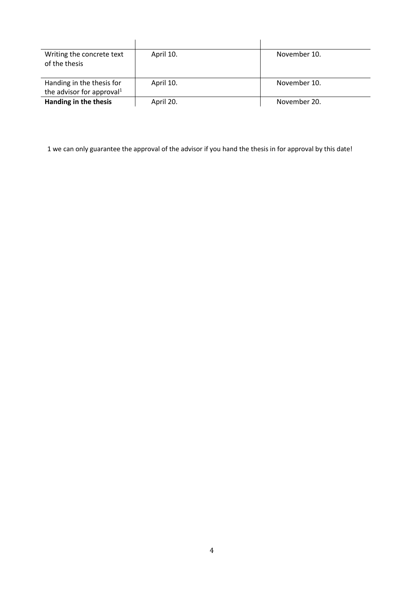| Writing the concrete text<br>of the thesis                         | April 10. | November 10. |
|--------------------------------------------------------------------|-----------|--------------|
| Handing in the thesis for<br>the advisor for approval <sup>1</sup> | April 10. | November 10. |
| Handing in the thesis                                              | April 20. | November 20. |

1 we can only guarantee the approval of the advisor if you hand the thesis in for approval by this date!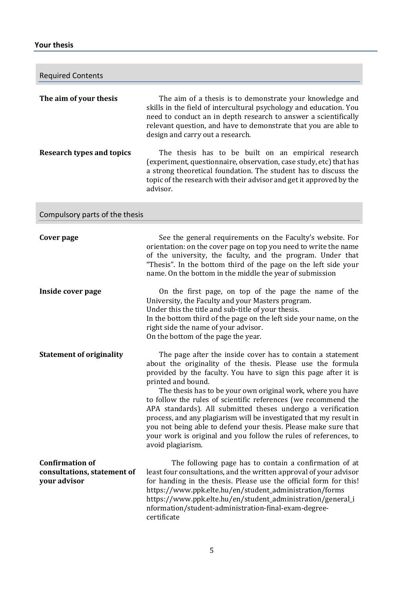# **Your thesis**

| <b>Required Contents</b>                                              |                                                                                                                                                                                                                                                                                                                                                                                                                                                                                                                                                                                                                                                      |
|-----------------------------------------------------------------------|------------------------------------------------------------------------------------------------------------------------------------------------------------------------------------------------------------------------------------------------------------------------------------------------------------------------------------------------------------------------------------------------------------------------------------------------------------------------------------------------------------------------------------------------------------------------------------------------------------------------------------------------------|
| The aim of your thesis                                                | The aim of a thesis is to demonstrate your knowledge and<br>skills in the field of intercultural psychology and education. You<br>need to conduct an in depth research to answer a scientifically<br>relevant question, and have to demonstrate that you are able to<br>design and carry out a research.                                                                                                                                                                                                                                                                                                                                             |
| <b>Research types and topics</b>                                      | The thesis has to be built on an empirical research<br>(experiment, questionnaire, observation, case study, etc) that has<br>a strong theoretical foundation. The student has to discuss the<br>topic of the research with their advisor and get it approved by the<br>advisor.                                                                                                                                                                                                                                                                                                                                                                      |
| Compulsory parts of the thesis                                        |                                                                                                                                                                                                                                                                                                                                                                                                                                                                                                                                                                                                                                                      |
| Cover page                                                            | See the general requirements on the Faculty's website. For<br>orientation: on the cover page on top you need to write the name<br>of the university, the faculty, and the program. Under that<br>"Thesis". In the bottom third of the page on the left side your<br>name. On the bottom in the middle the year of submission                                                                                                                                                                                                                                                                                                                         |
| Inside cover page                                                     | On the first page, on top of the page the name of the<br>University, the Faculty and your Masters program.<br>Under this the title and sub-title of your thesis.<br>In the bottom third of the page on the left side your name, on the<br>right side the name of your advisor.<br>On the bottom of the page the year.                                                                                                                                                                                                                                                                                                                                |
| <b>Statement of originality</b>                                       | The page after the inside cover has to contain a statement<br>about the originality of the thesis. Please use the formula<br>provided by the faculty. You have to sign this page after it is<br>printed and bound.<br>The thesis has to be your own original work, where you have<br>to follow the rules of scientific references (we recommend the<br>APA standards). All submitted theses undergo a verification<br>process, and any plagiarism will be investigated that my result in<br>you not being able to defend your thesis. Please make sure that<br>your work is original and you follow the rules of references, to<br>avoid plagiarism. |
| <b>Confirmation of</b><br>consultations, statement of<br>your advisor | The following page has to contain a confirmation of at<br>least four consultations, and the written approval of your advisor<br>for handing in the thesis. Please use the official form for this!<br>https://www.ppk.elte.hu/en/student_administration/forms<br>https://www.ppk.elte.hu/en/student_administration/general_i<br>nformation/student-administration-final-exam-degree-<br>certificate                                                                                                                                                                                                                                                   |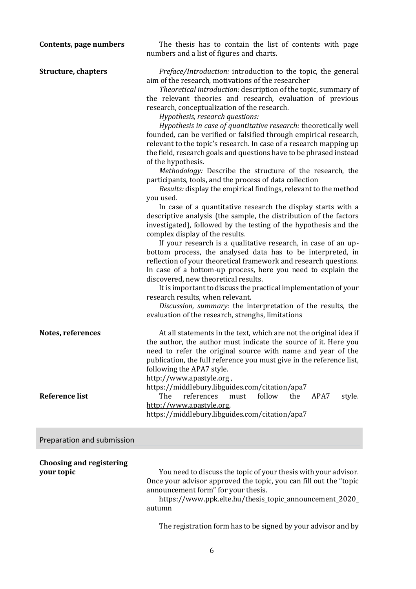| Contents, page numbers                        | The thesis has to contain the list of contents with page<br>numbers and a list of figures and charts.                                                                                                                                                                                                                                                                                                                                                                                                                                                                                                                                                                                                                                                                                                                                                                                                                                                                                                                                                                                                                                                                                                                                                                                                                                                                                                                                                                                                                                                                                                                                     |
|-----------------------------------------------|-------------------------------------------------------------------------------------------------------------------------------------------------------------------------------------------------------------------------------------------------------------------------------------------------------------------------------------------------------------------------------------------------------------------------------------------------------------------------------------------------------------------------------------------------------------------------------------------------------------------------------------------------------------------------------------------------------------------------------------------------------------------------------------------------------------------------------------------------------------------------------------------------------------------------------------------------------------------------------------------------------------------------------------------------------------------------------------------------------------------------------------------------------------------------------------------------------------------------------------------------------------------------------------------------------------------------------------------------------------------------------------------------------------------------------------------------------------------------------------------------------------------------------------------------------------------------------------------------------------------------------------------|
| <b>Structure, chapters</b>                    | Preface/Introduction: introduction to the topic, the general<br>aim of the research, motivations of the researcher<br>Theoretical introduction: description of the topic, summary of<br>the relevant theories and research, evaluation of previous<br>research, conceptualization of the research.<br>Hypothesis, research questions:<br>Hypothesis in case of quantitative research: theoretically well<br>founded, can be verified or falsified through empirical research,<br>relevant to the topic's research. In case of a research mapping up<br>the field, research goals and questions have to be phrased instead<br>of the hypothesis.<br>Methodology: Describe the structure of the research, the<br>participants, tools, and the process of data collection<br>Results: display the empirical findings, relevant to the method<br>you used.<br>In case of a quantitative research the display starts with a<br>descriptive analysis (the sample, the distribution of the factors<br>investigated), followed by the testing of the hypothesis and the<br>complex display of the results.<br>If your research is a qualitative research, in case of an up-<br>bottom process, the analysed data has to be interpreted, in<br>reflection of your theoretical framework and research questions.<br>In case of a bottom-up process, here you need to explain the<br>discovered, new theoretical results.<br>It is important to discuss the practical implementation of your<br>research results, when relevant.<br>Discussion, summary: the interpretation of the results, the<br>evaluation of the research, strenghs, limitations |
| Notes, references                             | At all statements in the text, which are not the original idea if<br>the author, the author must indicate the source of it. Here you<br>need to refer the original source with name and year of the<br>publication, the full reference you must give in the reference list,<br>following the APA7 style.<br>http://www.apastyle.org,<br>https://middlebury.libguides.com/citation/apa7                                                                                                                                                                                                                                                                                                                                                                                                                                                                                                                                                                                                                                                                                                                                                                                                                                                                                                                                                                                                                                                                                                                                                                                                                                                    |
| <b>Reference list</b>                         | references<br>The<br>follow<br>the<br>APA7<br>must<br>style.<br>http://www.apastyle.org,<br>https://middlebury.libguides.com/citation/apa7                                                                                                                                                                                                                                                                                                                                                                                                                                                                                                                                                                                                                                                                                                                                                                                                                                                                                                                                                                                                                                                                                                                                                                                                                                                                                                                                                                                                                                                                                                |
| Preparation and submission                    |                                                                                                                                                                                                                                                                                                                                                                                                                                                                                                                                                                                                                                                                                                                                                                                                                                                                                                                                                                                                                                                                                                                                                                                                                                                                                                                                                                                                                                                                                                                                                                                                                                           |
| <b>Choosing and registering</b><br>your topic | You need to discuss the topic of your thesis with your advisor.<br>Once your advisor approved the topic, you can fill out the "topic<br>announcement form" for your thesis.<br>https://www.ppk.elte.hu/thesis_topic_announcement_2020_<br>autumn                                                                                                                                                                                                                                                                                                                                                                                                                                                                                                                                                                                                                                                                                                                                                                                                                                                                                                                                                                                                                                                                                                                                                                                                                                                                                                                                                                                          |

The registration form has to be signed by your advisor and by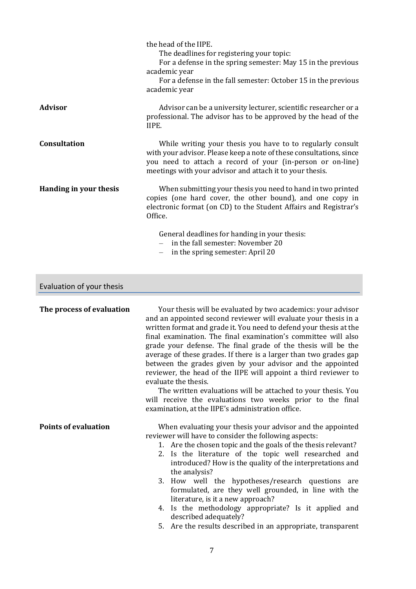|                                  | the head of the IIPE.<br>The deadlines for registering your topic:<br>For a defense in the spring semester: May 15 in the previous<br>academic year<br>For a defense in the fall semester: October 15 in the previous<br>academic year                                                                                            |
|----------------------------------|-----------------------------------------------------------------------------------------------------------------------------------------------------------------------------------------------------------------------------------------------------------------------------------------------------------------------------------|
| <b>Advisor</b>                   | Advisor can be a university lecturer, scientific researcher or a<br>professional. The advisor has to be approved by the head of the<br>IIPE.                                                                                                                                                                                      |
| <b>Consultation</b>              | While writing your thesis you have to to regularly consult<br>with your advisor. Please keep a note of these consultations, since<br>you need to attach a record of your (in-person or on-line)<br>meetings with your advisor and attach it to your thesis.                                                                       |
| Handing in your thesis           | When submitting your thesis you need to hand in two printed<br>copies (one hard cover, the other bound), and one copy in<br>electronic format (on CD) to the Student Affairs and Registrar's<br>Office.<br>General deadlines for handing in your thesis:<br>in the fall semester: November 20<br>in the spring semester: April 20 |
| وزوموا بالسرود بالمرمون والمراوي |                                                                                                                                                                                                                                                                                                                                   |

# Evaluation of your thesis

| The process of evaluation   | Your thesis will be evaluated by two academics: your advisor<br>and an appointed second reviewer will evaluate your thesis in a<br>written format and grade it. You need to defend your thesis at the<br>final examination. The final examination's committee will also<br>grade your defense. The final grade of the thesis will be the<br>average of these grades. If there is a larger than two grades gap<br>between the grades given by your advisor and the appointed<br>reviewer, the head of the IIPE will appoint a third reviewer to<br>evaluate the thesis.<br>The written evaluations will be attached to your thesis. You<br>will receive the evaluations two weeks prior to the final<br>examination, at the IIPE's administration office. |
|-----------------------------|----------------------------------------------------------------------------------------------------------------------------------------------------------------------------------------------------------------------------------------------------------------------------------------------------------------------------------------------------------------------------------------------------------------------------------------------------------------------------------------------------------------------------------------------------------------------------------------------------------------------------------------------------------------------------------------------------------------------------------------------------------|
| <b>Points of evaluation</b> | When evaluating your thesis your advisor and the appointed<br>reviewer will have to consider the following aspects:<br>1. Are the chosen topic and the goals of the thesis relevant?                                                                                                                                                                                                                                                                                                                                                                                                                                                                                                                                                                     |

- 2. Is the literature of the topic well researched and introduced? How is the quality of the interpretations and the analysis?
- 3. How well the hypotheses/research questions are formulated, are they well grounded, in line with the literature, is it a new approach?
- 4. Is the methodology appropriate? Is it applied and described adequately?
- 5. Are the results described in an appropriate, transparent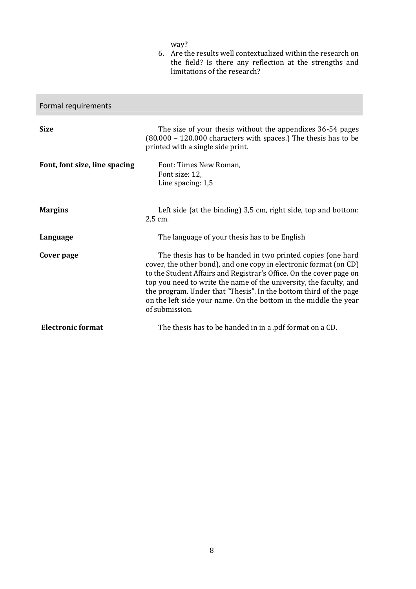way?

6. Are the results well contextualized within the research on the field? Is there any reflection at the strengths and limitations of the research?

| Formal requirements           |                                                                                                                                                                                                                                                                                                                                                                                                                                          |
|-------------------------------|------------------------------------------------------------------------------------------------------------------------------------------------------------------------------------------------------------------------------------------------------------------------------------------------------------------------------------------------------------------------------------------------------------------------------------------|
| <b>Size</b>                   | The size of your thesis without the appendixes 36-54 pages<br>$(80.000 - 120.000$ characters with spaces.) The thesis has to be<br>printed with a single side print.                                                                                                                                                                                                                                                                     |
| Font, font size, line spacing | Font: Times New Roman,<br>Font size: 12,<br>Line spacing: 1,5                                                                                                                                                                                                                                                                                                                                                                            |
| <b>Margins</b>                | Left side (at the binding) 3,5 cm, right side, top and bottom:<br>2,5 cm.                                                                                                                                                                                                                                                                                                                                                                |
| Language                      | The language of your thesis has to be English                                                                                                                                                                                                                                                                                                                                                                                            |
| Cover page                    | The thesis has to be handed in two printed copies (one hard<br>cover, the other bond), and one copy in electronic format (on CD)<br>to the Student Affairs and Registrar's Office. On the cover page on<br>top you need to write the name of the university, the faculty, and<br>the program. Under that "Thesis". In the bottom third of the page<br>on the left side your name. On the bottom in the middle the year<br>of submission. |
| <b>Electronic format</b>      | The thesis has to be handed in in a .pdf format on a CD.                                                                                                                                                                                                                                                                                                                                                                                 |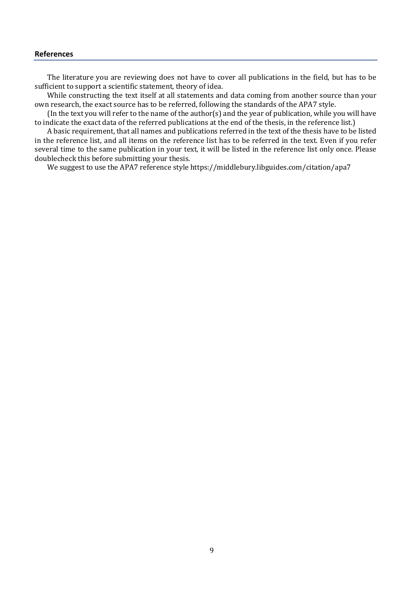## **References**

The literature you are reviewing does not have to cover all publications in the field, but has to be sufficient to support a scientific statement, theory of idea.

While constructing the text itself at all statements and data coming from another source than your own research, the exact source has to be referred, following the standards of the APA7 style.

(In the text you will refer to the name of the author(s) and the year of publication, while you will have to indicate the exact data of the referred publications at the end of the thesis, in the reference list.)

A basic requirement, that all names and publications referred in the text of the thesis have to be listed in the reference list, and all items on the reference list has to be referred in the text. Even if you refer several time to the same publication in your text, it will be listed in the reference list only once. Please doublecheck this before submitting your thesis.

We suggest to use the APA7 reference style https://middlebury.libguides.com/citation/apa7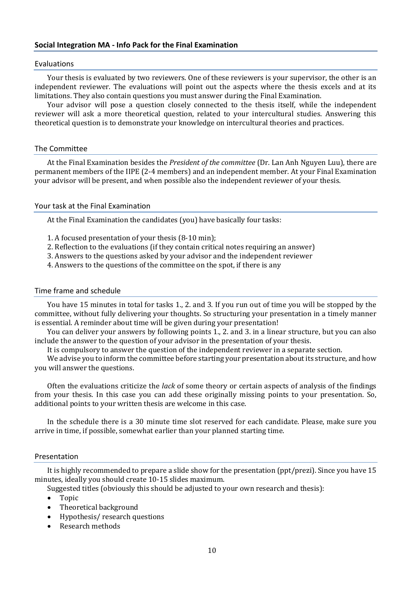## Evaluations

Your thesis is evaluated by two reviewers. One of these reviewers is your supervisor, the other is an independent reviewer. The evaluations will point out the aspects where the thesis excels and at its limitations. They also contain questions you must answer during the Final Examination.

Your advisor will pose a question closely connected to the thesis itself, while the independent reviewer will ask a more theoretical question, related to your intercultural studies. Answering this theoretical question is to demonstrate your knowledge on intercultural theories and practices.

## The Committee

At the Final Examination besides the *President of the committee* (Dr. Lan Anh Nguyen Luu), there are permanent members of the IIPE (2-4 members) and an independent member. At your Final Examination your advisor will be present, and when possible also the independent reviewer of your thesis.

## Your task at the Final Examination

At the Final Examination the candidates (you) have basically four tasks:

- 1. A focused presentation of your thesis (8-10 min);
- 2. Reflection to the evaluations (if they contain critical notes requiring an answer)
- 3. Answers to the questions asked by your advisor and the independent reviewer
- 4. Answers to the questions of the committee on the spot, if there is any

## Time frame and schedule

You have 15 minutes in total for tasks 1., 2. and 3. If you run out of time you will be stopped by the committee, without fully delivering your thoughts. So structuring your presentation in a timely manner is essential. A reminder about time will be given during your presentation!

You can deliver your answers by following points 1., 2. and 3. in a linear structure, but you can also include the answer to the question of your advisor in the presentation of your thesis.

It is compulsory to answer the question of the independent reviewer in a separate section.

We advise you to inform the committee before starting your presentation about its structure, and how you will answer the questions.

Often the evaluations criticize the *lack* of some theory or certain aspects of analysis of the findings from your thesis. In this case you can add these originally missing points to your presentation. So, additional points to your written thesis are welcome in this case.

In the schedule there is a 30 minute time slot reserved for each candidate. Please, make sure you arrive in time, if possible, somewhat earlier than your planned starting time.

## Presentation

It is highly recommended to prepare a slide show for the presentation (ppt/prezi). Since you have 15 minutes, ideally you should create 10-15 slides maximum.

- Suggested titles (obviously this should be adjusted to your own research and thesis):
	- Topic
	- Theoretical background
	- Hypothesis/research questions
	- Research methods